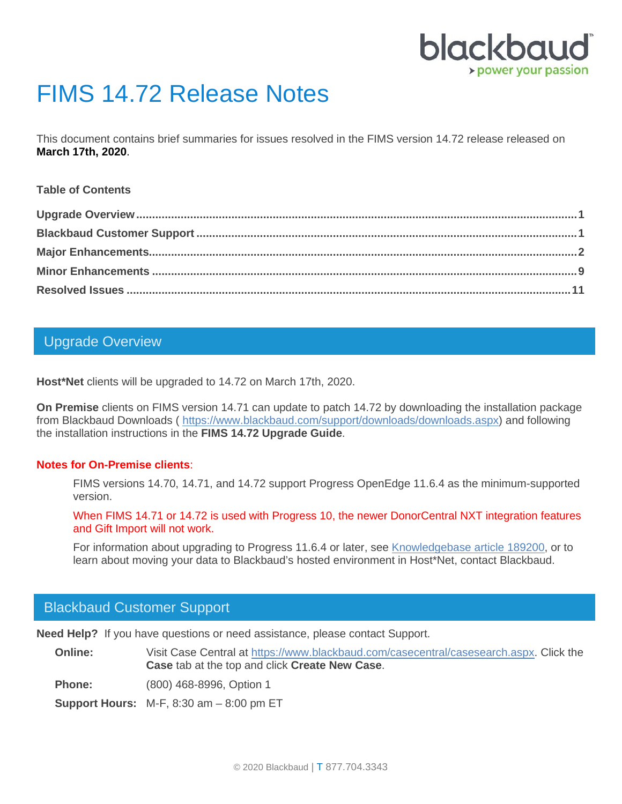

# FIMS 14.72 Release Notes

This document contains brief summaries for issues resolved in the FIMS version 14.72 release released on **March 17th, 2020**.

#### **Table of Contents**

## <span id="page-0-0"></span>Upgrade Overview

**Host\*Net** clients will be upgraded to 14.72 on March 17th, 2020.

**On Premise** clients on FIMS version 14.71 can update to patch 14.72 by downloading the installation package from Blackbaud Downloads ( [https://www.blackbaud.com/support/downloads/downloads.aspx\)](https://www.blackbaud.com/support/downloads/downloads.aspx) and following the installation instructions in the **FIMS 14.72 Upgrade Guide**.

#### **Notes for On-Premise clients**:

FIMS versions 14.70, 14.71, and 14.72 support Progress OpenEdge 11.6.4 as the minimum-supported version.

When FIMS 14.71 or 14.72 is used with Progress 10, the newer DonorCentral NXT integration features and Gift Import will not work.

For information about upgrading to Progress 11.6.4 or later, see [Knowledgebase article 189200,](https://kb.blackbaud.com/articles/Article/189200) or to learn about moving your data to Blackbaud's hosted environment in Host\*Net, contact Blackbaud.

### <span id="page-0-1"></span>Blackbaud Customer Support

**Need Help?** If you have questions or need assistance, please contact Support.

**Online:** Visit Case Central at [https://www.blackbaud.com/casecentral/casesearch.aspx.](https://www.blackbaud.com/casecentral/casesearch.aspx) Click the **Case** tab at the top and click **Create New Case**.

**Phone:** (800) 468-8996, Option 1

**Support Hours:** M-F, 8:30 am – 8:00 pm ET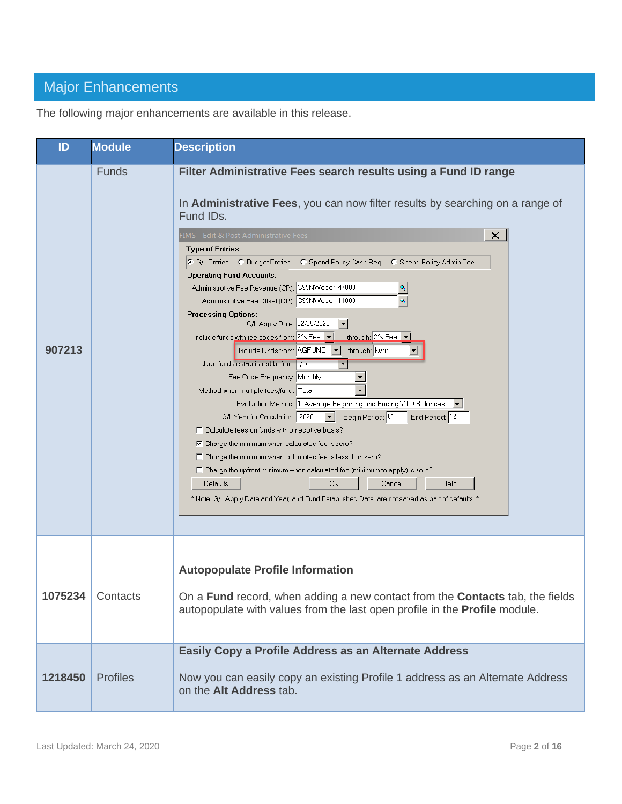# <span id="page-1-0"></span>Major Enhancements

The following major enhancements are available in this release.

| ID      | <b>Module</b>   | <b>Description</b>                                                                                                                                                                                                                                                                                                                                                                                                                                                                                                                                                                                                                                                                                                                                                                                                                                                                                                                                                                                                                                                                                                                                                                                                                                                                                                                                                                                                       |
|---------|-----------------|--------------------------------------------------------------------------------------------------------------------------------------------------------------------------------------------------------------------------------------------------------------------------------------------------------------------------------------------------------------------------------------------------------------------------------------------------------------------------------------------------------------------------------------------------------------------------------------------------------------------------------------------------------------------------------------------------------------------------------------------------------------------------------------------------------------------------------------------------------------------------------------------------------------------------------------------------------------------------------------------------------------------------------------------------------------------------------------------------------------------------------------------------------------------------------------------------------------------------------------------------------------------------------------------------------------------------------------------------------------------------------------------------------------------------|
| 907213  | Funds           | Filter Administrative Fees search results using a Fund ID range<br>In Administrative Fees, you can now filter results by searching on a range of<br>Fund IDs.<br>FIMS - Edit & Post Administrative Fees<br>$\times$<br><b>Type of Entries:</b><br>C G/L Entries C Budget Entries C Spend Policy Cash Req C Spend Policy Admin Fee<br><b>Operating Fund Accounts:</b><br>Administrative Fee Revenue (CR): C99NWoper 47000<br>Administrative Fee Offset (DR): C99NWoper 11000<br><b>Processing Options:</b><br>G/L Apply Date: 02/05/2020<br>$\vert \cdot \vert$<br>through: 2% Fee<br>Include funds with fee codes from: $2\%$ Fee $\blacktriangleright$<br>through: kenn<br>Include funds from: AGFUND<br>Include funds established before:   / /<br>Fee Code Frequency: Monthly<br>Method when multiple fees/fund: Total<br>Evaluation Method: 1. Average Beginning and Ending YTD Balances<br>G/L Year for Calculation: 2020<br>Begin Period: 01<br>End Period: 12<br>$\vert \mathbf{v} \vert$<br>□ Calculate fees on funds with a negative basis?<br>$\nabla$ Charge the minimum when calculated fee is zero?<br>$\Box$ Charge the minimum when calculated fee is less than zero?<br>$\Box$ Charge the upfront minimum when calculated fee (minimum to apply) is zero?<br><b>OK</b><br>Defaults<br>Cancel<br>Help<br>* Note: G/L Apply Date and Year, and Fund Established Date, are not saved as part of defaults. * |
| 1075234 | Contacts        | <b>Autopopulate Profile Information</b><br>On a <b>Fund</b> record, when adding a new contact from the <b>Contacts</b> tab, the fields<br>autopopulate with values from the last open profile in the <b>Profile</b> module.                                                                                                                                                                                                                                                                                                                                                                                                                                                                                                                                                                                                                                                                                                                                                                                                                                                                                                                                                                                                                                                                                                                                                                                              |
| 1218450 | <b>Profiles</b> | Easily Copy a Profile Address as an Alternate Address<br>Now you can easily copy an existing Profile 1 address as an Alternate Address<br>on the Alt Address tab.                                                                                                                                                                                                                                                                                                                                                                                                                                                                                                                                                                                                                                                                                                                                                                                                                                                                                                                                                                                                                                                                                                                                                                                                                                                        |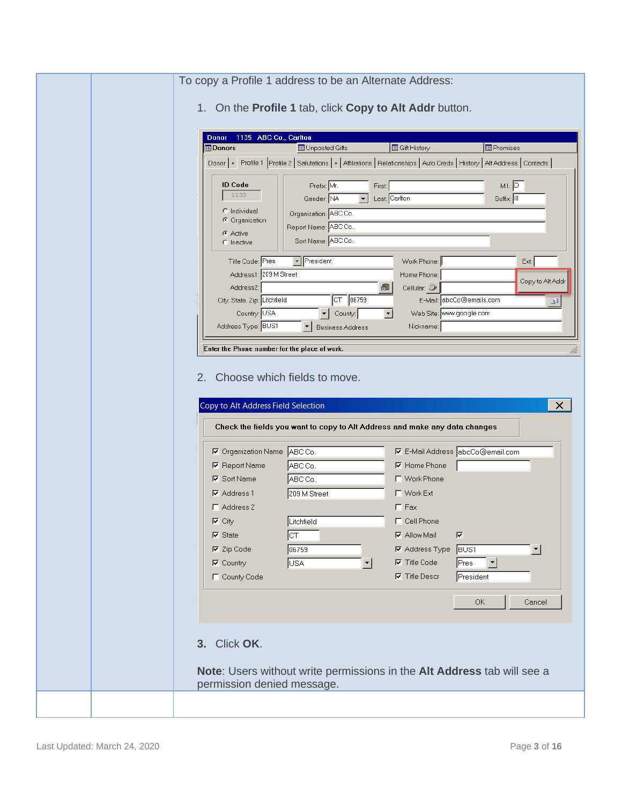| 1135 ABC Co., Carlton<br>Donor<br><b>B</b> Gift History<br><b>E</b> Promises<br><b>Donors</b><br><b>ED</b> Unposted Gifts                                                                                                                                                                                                                                                                                                                                                                                                                                                                                                                                                                                                                                                                                                                                                                                                                                                                                                                                                                                                                   |
|---------------------------------------------------------------------------------------------------------------------------------------------------------------------------------------------------------------------------------------------------------------------------------------------------------------------------------------------------------------------------------------------------------------------------------------------------------------------------------------------------------------------------------------------------------------------------------------------------------------------------------------------------------------------------------------------------------------------------------------------------------------------------------------------------------------------------------------------------------------------------------------------------------------------------------------------------------------------------------------------------------------------------------------------------------------------------------------------------------------------------------------------|
| Donor   + Profile 1 Profile 2   Salutations   +   Affiliations   Relationships   Auto Creds   History   Alt Address   Contacts  <br>M.I.: $\boxed{D}$<br><b>ID Code</b><br>Prefix Mr.<br>First:<br>1135<br>Gender: NA<br>$\mathbf{r}$<br>Last Carlton<br>Suffix: III<br>C Individual<br>Organization: ABC Co.<br>C Organization<br>Report Name: ABC Co.<br><b>C</b> Active<br>Sort Name: ABC Co.<br>C Inactive<br>$\boxed{\mathbf{F}}$ President<br>Title Code: Pres<br>Work Phone:<br>Ext:<br>Address1: 209 M Street<br>Home Phone:<br>Copy to Alt Addr<br>61<br>Address2:<br>Cellular: 2<br>$CT$ 06759<br>E-Mail: abcCo@emails.com<br>City, State, Zip: Litchfield<br>œ<br>Country: USA<br>$\blacktriangleright$ County:<br>$\blacktriangledown$<br>Web Site: www.google.com<br>Address Type: BUS1<br>Nickname:<br><b>Business Address</b><br>Enter the Phone number for the place of work.<br>2. Choose which fields to move.<br>Copy to Alt Address Field Selection<br>$\times$<br>Check the fields you want to copy to Alt Address and make any data changes<br><b>▽</b> E-Mail Address abcCo@email.com<br>☑ Organization Name ABC Co. |
| ABC Co.<br><b>⊽</b> Home Phone<br><b>▽</b> Report Name<br>ABC Co.<br>$\nabla$ Sort Name<br><b>IT</b> Work Phone<br>$\nabla$ Address 1<br>209 M Street<br>□ Work Ext<br>$\Gamma$ Fax<br>$\Gamma$ Address 2<br>$\nabla$ City<br>Litchfield<br>□ Cell Phone<br>⊽<br>$\nabla$ State<br>Įст<br><b>⊽</b> Allow Mail<br>$\nabla$ Zip Code<br>06759<br><b>▽</b> Address Type<br><b>BUS1</b><br>회<br>▾<br>$\nabla$ Title Code<br>$\nabla$ Country<br>USA<br>Pres<br>▾╎                                                                                                                                                                                                                                                                                                                                                                                                                                                                                                                                                                                                                                                                               |
| County Code<br><b>⊽</b> Title Descr<br>President                                                                                                                                                                                                                                                                                                                                                                                                                                                                                                                                                                                                                                                                                                                                                                                                                                                                                                                                                                                                                                                                                            |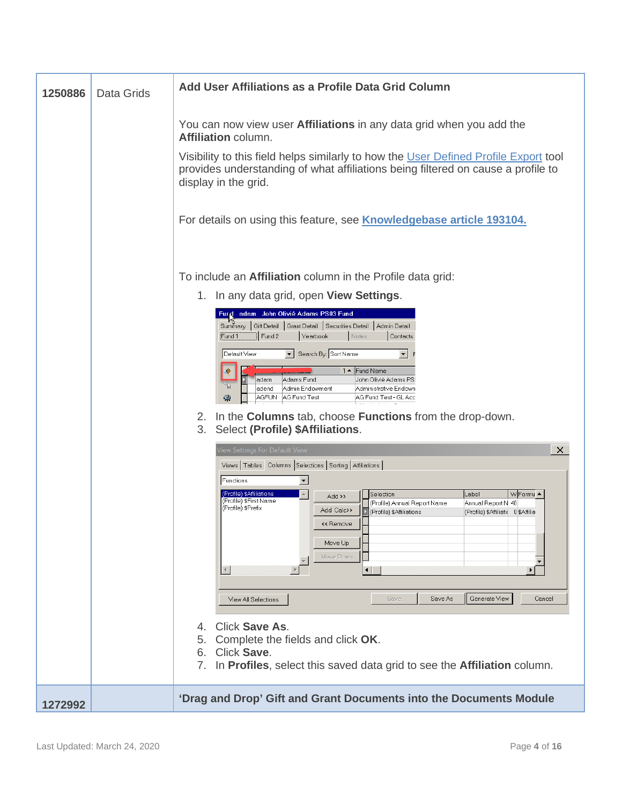| 1250886 | Data Grids | Add User Affiliations as a Profile Data Grid Column                                                                                                                                                                                                                                                                                                                                                                                                                                                                                                                                                                                                                                                                                                                                                                                                                                                                                                                                                                                                                    |
|---------|------------|------------------------------------------------------------------------------------------------------------------------------------------------------------------------------------------------------------------------------------------------------------------------------------------------------------------------------------------------------------------------------------------------------------------------------------------------------------------------------------------------------------------------------------------------------------------------------------------------------------------------------------------------------------------------------------------------------------------------------------------------------------------------------------------------------------------------------------------------------------------------------------------------------------------------------------------------------------------------------------------------------------------------------------------------------------------------|
|         |            | You can now view user Affiliations in any data grid when you add the<br>Affiliation column.<br>Visibility to this field helps similarly to how the User Defined Profile Export tool<br>provides understanding of what affiliations being filtered on cause a profile to<br>display in the grid.<br>For details on using this feature, see <b>Knowledgebase article 193104.</b>                                                                                                                                                                                                                                                                                                                                                                                                                                                                                                                                                                                                                                                                                         |
|         |            | To include an Affiliation column in the Profile data grid:<br>1. In any data grid, open View Settings.<br>Furd adam John Olivié Adams PS03 Fund<br>Summary   Gift Detail   Grant Detail   Securities Detail   Admin Detail<br>Fund 2<br>Yearbook<br>Fund 1<br>Notes<br>Contacts<br>▼ Search By: Sort Name<br>Default View<br>▾╎<br>1 ▲ Fund Name<br>❤<br>Adams Fund<br>John Olivié Adams PSI<br>adam<br>Admin Endowment<br>Administrative Endown<br>adend<br>AGFUN AG Fund Test<br>AG Fund Test - GL Acc<br>磡<br>In the Columns tab, choose Functions from the drop-down.<br>2.<br>Select (Profile) \$Affiliations.<br>3.<br>$\times$<br>View Settings For Default View<br>Views   Tables Columns   Selections   Sorting   Affiliations  <br>$\blacktriangledown$<br>Functions<br>(Profile) \$Affiliations<br>W Formu ▲<br> Label<br>Selection<br>Add >><br>(Profile) \$First Name<br>(Profile) Annual Report Name<br>Annual Report N 40<br>(Profile) \$Prefix<br>Add Calc>><br>(Profile) \$Affiliations<br>(Profile) \$Affiliatic 0 \$Affilia<br><< Remove<br>Move Up |
| 1272992 |            | Move Down<br>$\blacktriangleleft$<br>$\blacksquare$<br>$\blacktriangleright$<br>Save As<br>Generate View<br>Save<br>Cancel<br>View All Selections<br>Click Save As.<br>4<br>Complete the fields and click OK.<br>5.<br>Click Save.<br>6.<br>7. In Profiles, select this saved data grid to see the Affiliation column.<br>'Drag and Drop' Gift and Grant Documents into the Documents Module                                                                                                                                                                                                                                                                                                                                                                                                                                                                                                                                                                                                                                                                           |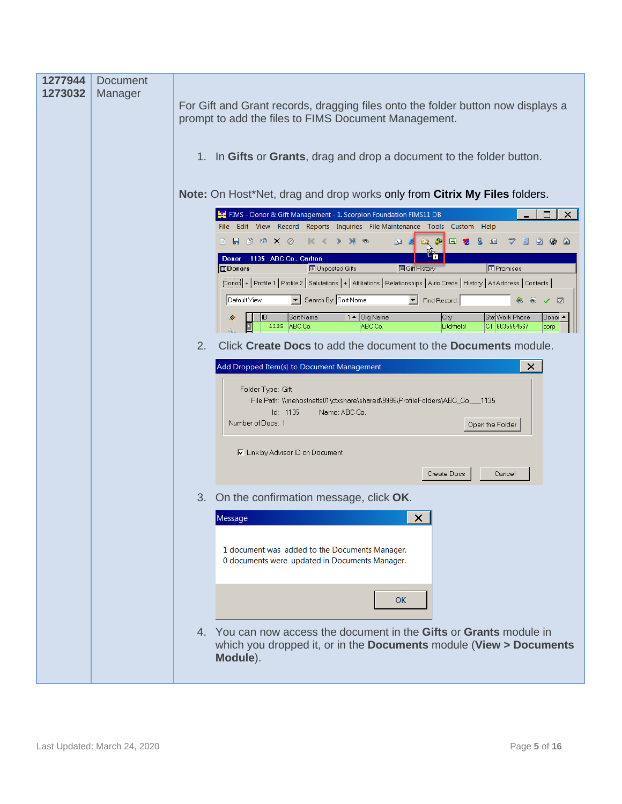| 1277944<br>1273032 | <b>Document</b><br>Manager |    | For Gift and Grant records, dragging files onto the folder button now displays a<br>prompt to add the files to FIMS Document Management.<br>1. In Gifts or Grants, drag and drop a document to the folder button. |
|--------------------|----------------------------|----|-------------------------------------------------------------------------------------------------------------------------------------------------------------------------------------------------------------------|
|                    |                            |    | Note: On Host*Net, drag and drop works only from Citrix My Files folders.                                                                                                                                         |
|                    |                            |    | FIMS - Donor & Gift Management - 1. Scorpion Foundation FIMS11 DB<br>□<br>$\boldsymbol{\mathsf{x}}$                                                                                                               |
|                    |                            |    | File Edit View Record Reports Inquiries File Maintenance Tools Custom Help                                                                                                                                        |
|                    |                            |    | $B$ $B$ $B$ $\alpha$ $X$ $\oslash$<br>$\mathbb{R}$ <<br>Ð<br>£<br>l Su<br>$S =$                                                                                                                                   |
|                    |                            |    | Donor 1135 ABC Co., Carlton                                                                                                                                                                                       |
|                    |                            |    | <b>Donors</b><br><b>B</b> Gift History<br><b>E</b> Promises<br><b>ED</b> Unposted Gifts                                                                                                                           |
|                    |                            |    | Donor   + Profile 1   Profile 2   Salutations   +   Affiliations   Relationships   Auto Creds   History   Alt Address   Contacts                                                                                  |
|                    |                            |    | Search By: Sort Name<br>$\overline{\mathbf{r}}$<br>Default View<br>Find Record:<br>◙<br>✓                                                                                                                         |
|                    |                            |    | $1 -$ Org Name<br>City<br>Sta Work Phone<br>Sort Name<br>Donoi ▲<br>€<br>ABC Co.<br>CT 6035554567<br>1135<br>ABC Co.<br>Litchfield<br>corp                                                                        |
|                    |                            | 2. | Click Create Docs to add the document to the Documents module.                                                                                                                                                    |
|                    |                            |    | Add Dropped Item(s) to Document Management<br>×                                                                                                                                                                   |
|                    |                            |    | Folder Type: Gift<br>File Path: \\mehostnetfs01\ctxshare\shared\9996\ProfileFolders\ABC_Co.__1135<br>Id: 1135<br>Name: ABC Co.<br>Number of Docs: 1<br>Open the Folder                                            |
|                    |                            |    | <b>▽</b> Link by Advisor ID on Document                                                                                                                                                                           |
|                    |                            |    | Create Docs<br>Cancel                                                                                                                                                                                             |
|                    |                            | 3. | On the confirmation message, click OK.                                                                                                                                                                            |
|                    |                            |    | $\times$<br>Message                                                                                                                                                                                               |
|                    |                            |    |                                                                                                                                                                                                                   |
|                    |                            |    | 1 document was added to the Documents Manager.<br>0 documents were updated in Documents Manager.                                                                                                                  |
|                    |                            |    | <b>OK</b>                                                                                                                                                                                                         |
|                    |                            |    | 4. You can now access the document in the Gifts or Grants module in<br>which you dropped it, or in the Documents module (View > Documents<br>Module).                                                             |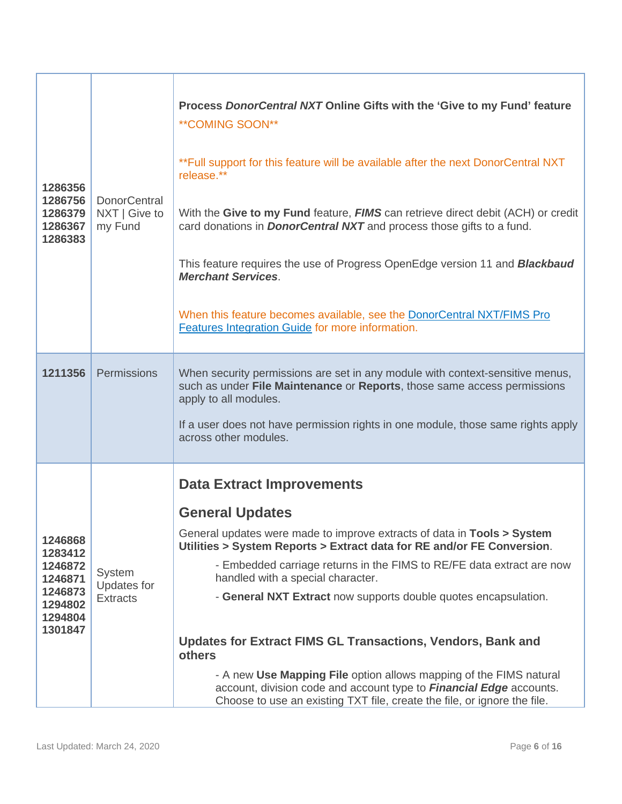| 1286356<br>1286756<br>1286379<br>1286367<br>1286383                                  | DonorCentral<br>NXT   Give to<br>my Fund | Process DonorCentral NXT Online Gifts with the 'Give to my Fund' feature<br>**COMING SOON**<br>**Full support for this feature will be available after the next DonorCentral NXT<br>release.**<br>With the Give to my Fund feature, FIMS can retrieve direct debit (ACH) or credit<br>card donations in <b>DonorCentral NXT</b> and process those gifts to a fund.<br>This feature requires the use of Progress OpenEdge version 11 and <b>Blackbaud</b><br><b>Merchant Services.</b><br>When this feature becomes available, see the DonorCentral NXT/FIMS Pro<br>Features Integration Guide for more information.                                                                                                        |
|--------------------------------------------------------------------------------------|------------------------------------------|----------------------------------------------------------------------------------------------------------------------------------------------------------------------------------------------------------------------------------------------------------------------------------------------------------------------------------------------------------------------------------------------------------------------------------------------------------------------------------------------------------------------------------------------------------------------------------------------------------------------------------------------------------------------------------------------------------------------------|
| 1211356                                                                              | Permissions                              | When security permissions are set in any module with context-sensitive menus,<br>such as under File Maintenance or Reports, those same access permissions<br>apply to all modules.<br>If a user does not have permission rights in one module, those same rights apply<br>across other modules.                                                                                                                                                                                                                                                                                                                                                                                                                            |
| 1246868<br>1283412<br>1246872<br>1246871<br>1246873<br>1294802<br>1294804<br>1301847 | System<br>Updates for<br><b>Extracts</b> | <b>Data Extract Improvements</b><br><b>General Updates</b><br>General updates were made to improve extracts of data in <b>Tools &gt; System</b><br>Utilities > System Reports > Extract data for RE and/or FE Conversion.<br>- Embedded carriage returns in the FIMS to RE/FE data extract are now<br>handled with a special character.<br>- General NXT Extract now supports double quotes encapsulation.<br><b>Updates for Extract FIMS GL Transactions, Vendors, Bank and</b><br>others<br>- A new Use Mapping File option allows mapping of the FIMS natural<br>account, division code and account type to <b>Financial Edge</b> accounts.<br>Choose to use an existing TXT file, create the file, or ignore the file. |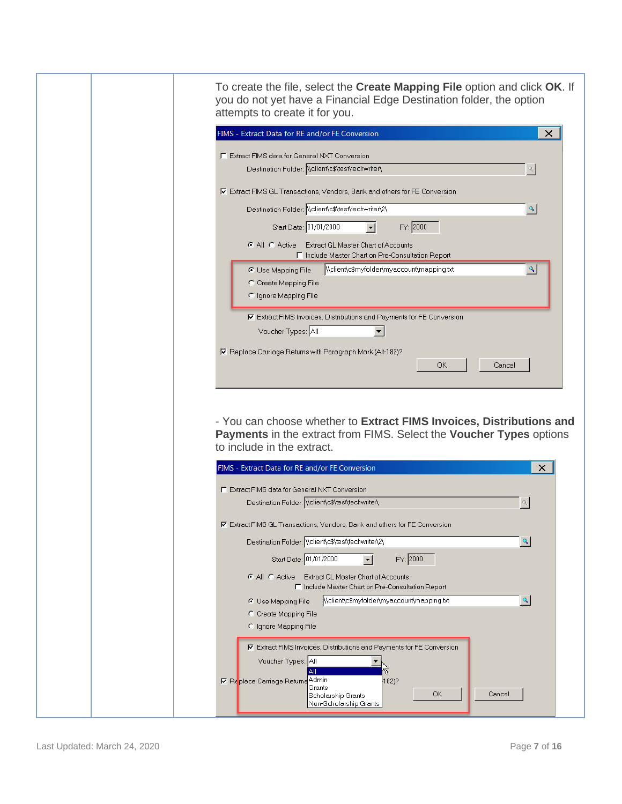| attempts to create it for you.<br>FIMS - Extract Data for RE and/or FE Conversion                                                                                                                | To create the file, select the Create Mapping File option and click OK. If<br>you do not yet have a Financial Edge Destination folder, the option<br>× |
|--------------------------------------------------------------------------------------------------------------------------------------------------------------------------------------------------|--------------------------------------------------------------------------------------------------------------------------------------------------------|
| □ Extract FIMS data for General NXT Conversion                                                                                                                                                   |                                                                                                                                                        |
| Destination Folder: \\client\c\$\test\techwriter\                                                                                                                                                | $\sigma$                                                                                                                                               |
| <b><math>\overline{V}</math></b> Extract FIMS GL Transactions, Vendors, Bank and others for FE Conversion                                                                                        |                                                                                                                                                        |
| Destination Folder: Welient es test techwriter (2)                                                                                                                                               | $\mathbf{Q}_\mathbf{q}$                                                                                                                                |
| Start Date: 01/01/2000<br>▾<br>C All C Active Extract GL Master Chart of Accounts                                                                                                                | FY: 2000                                                                                                                                               |
| □ Include Master Chart on Pre-Consultation Report                                                                                                                                                |                                                                                                                                                        |
| C Use Mapping File<br>C Create Mapping File                                                                                                                                                      | \\client\c\$myfolder\myaccount\mapping.txt<br>٩                                                                                                        |
| C Ignore Mapping File                                                                                                                                                                            |                                                                                                                                                        |
| 区 Extract FIMS Invoices, Distributions and Payments for FE Conversion                                                                                                                            |                                                                                                                                                        |
| Voucher Types: All                                                                                                                                                                               |                                                                                                                                                        |
| Ⅳ Replace Carriage Returns with Paragraph Mark (Alt-182)?                                                                                                                                        | ОК<br>Cancel<br>- You can choose whether to Extract FIMS Invoices, Distributions and                                                                   |
| to include in the extract.                                                                                                                                                                       | Payments in the extract from FIMS. Select the Voucher Types options                                                                                    |
| FIMS - Extract Data for RE and/or FE Conversion                                                                                                                                                  | ×                                                                                                                                                      |
| F Extract FIMS data for General NXT Conversion                                                                                                                                                   |                                                                                                                                                        |
| Destination Folder: Wellentyc Sytestytechwritery                                                                                                                                                 |                                                                                                                                                        |
| Ⅳ Extract FIMS GL Transactions. Vendors. Bank and others for FE Conversion<br>Destination Folder: \\client\c\$\test\techwriter\2\                                                                | $\mathbf{Q}_\mathbf{q}$                                                                                                                                |
| Start Date: 01/01/2000<br>▾╎                                                                                                                                                                     | FY: 2000                                                                                                                                               |
| C All C Active Extract GL Master Chart of Accounts                                                                                                                                               |                                                                                                                                                        |
| □ Include Master Chart on Pre-Consultation Report<br><b>C</b> Use Mapping File                                                                                                                   | $\mathbf{Q}_\mathbf{q}$<br>Nclient\c\$myfolder\myaccount\mapping.txt                                                                                   |
| C Create Mapping File<br>C Ignore Mapping File                                                                                                                                                   |                                                                                                                                                        |
| Ⅳ Extract FIMS Invoices, Distributions and Payments for FE Conversion<br>Voucher Types: All<br>All<br>I Replace Carriage Returns Admin<br>Grants<br>Scholarship Grants<br>Non-Scholarship Grants | 182)?<br>OK.<br>Cancel                                                                                                                                 |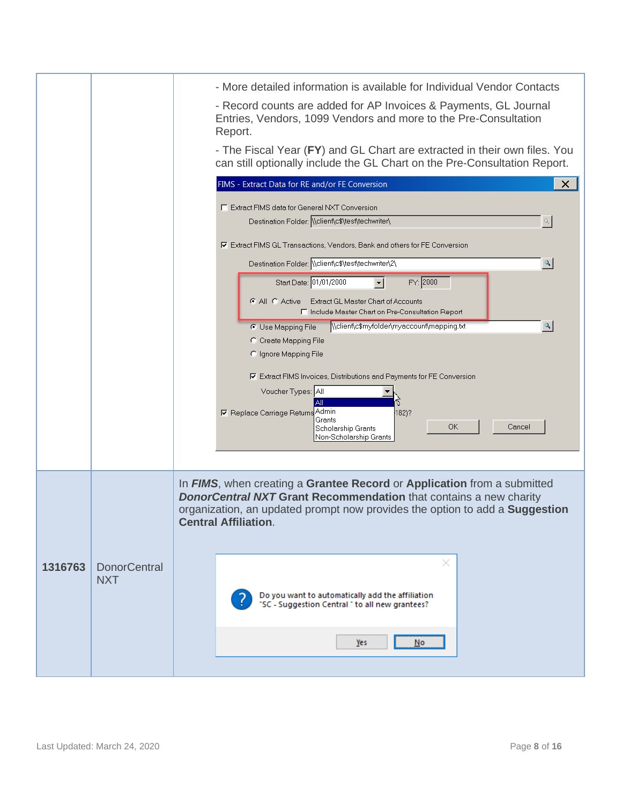|         |                     | - More detailed information is available for Individual Vendor Contacts                                                                                |
|---------|---------------------|--------------------------------------------------------------------------------------------------------------------------------------------------------|
|         |                     | - Record counts are added for AP Invoices & Payments, GL Journal<br>Entries, Vendors, 1099 Vendors and more to the Pre-Consultation<br>Report.         |
|         |                     | - The Fiscal Year (FY) and GL Chart are extracted in their own files. You<br>can still optionally include the GL Chart on the Pre-Consultation Report. |
|         |                     | FIMS - Extract Data for RE and/or FE Conversion<br>×                                                                                                   |
|         |                     | <b>F</b> Extract FIMS data for General NXT Conversion                                                                                                  |
|         |                     | Destination Folder: Wellent\c\$\test\techwriter\<br>$\sigma$                                                                                           |
|         |                     | Ⅳ Extract FIMS GL Transactions, Vendors, Bank and others for FE Conversion                                                                             |
|         |                     | Destination Folder: Wellentyc\$\test\techwriter\2\<br>$\mathbf{Q}_\mathbf{q}$                                                                          |
|         |                     | FY: 2000<br>Start Date: 01/01/2000                                                                                                                     |
|         |                     | C All C Active Extract GL Master Chart of Accounts<br>□ Include Master Chart on Pre-Consultation Report                                                |
|         |                     | \\client\c\$myfolder\myaccount\mapping.txt<br>$\mathbf{Q}_\mathbf{q}$<br>C Use Mapping File                                                            |
|         |                     | C Create Mapping File<br>C Ignore Mapping File                                                                                                         |
|         |                     | <b>▽</b> Extract FIMS Invoices, Distributions and Payments for FE Conversion                                                                           |
|         |                     | Voucher Types: All                                                                                                                                     |
|         |                     | I Replace Carriage Returns Admin<br> 182)?<br>Grants                                                                                                   |
|         |                     | OK.<br>Cancel<br>Scholarship Grants<br>Non-Scholarship Grants                                                                                          |
|         |                     |                                                                                                                                                        |
|         |                     | In FIMS, when creating a Grantee Record or Application from a submitted                                                                                |
|         |                     | <b>DonorCentral NXT Grant Recommendation that contains a new charity</b>                                                                               |
|         |                     | organization, an updated prompt now provides the option to add a <b>Suggestion</b><br><b>Central Affiliation.</b>                                      |
|         |                     |                                                                                                                                                        |
| 1316763 | <b>DonorCentral</b> | ×                                                                                                                                                      |
|         | <b>NXT</b>          |                                                                                                                                                        |
|         |                     | Do you want to automatically add the affiliation<br>"SC - Suggestion Central " to all new grantees?                                                    |
|         |                     |                                                                                                                                                        |
|         |                     | Yes<br>No.                                                                                                                                             |
|         |                     |                                                                                                                                                        |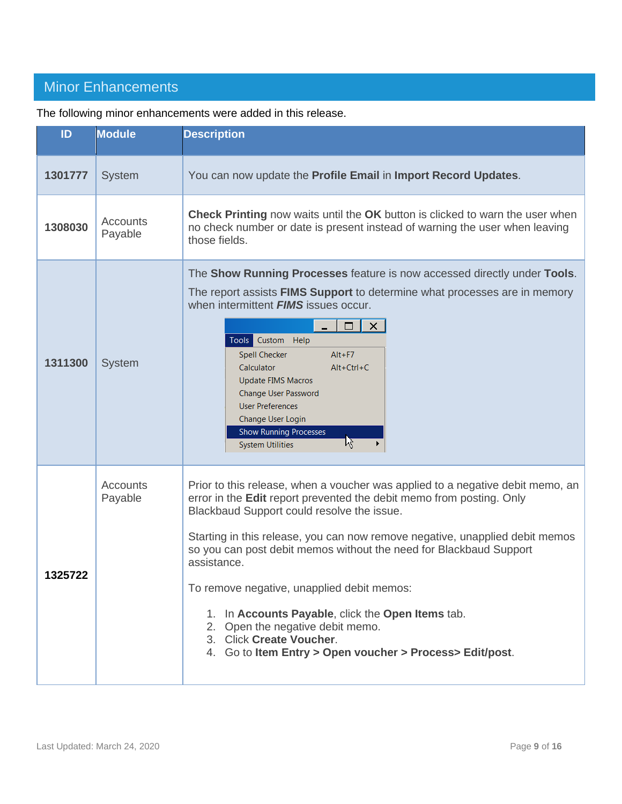## <span id="page-8-0"></span>Minor Enhancements

| ID      | <b>Module</b>              | <b>Description</b>                                                                                                                                                                                                                                                                                                                                                                                                                                                                                                                                                                                       |  |
|---------|----------------------------|----------------------------------------------------------------------------------------------------------------------------------------------------------------------------------------------------------------------------------------------------------------------------------------------------------------------------------------------------------------------------------------------------------------------------------------------------------------------------------------------------------------------------------------------------------------------------------------------------------|--|
| 1301777 | <b>System</b>              | You can now update the Profile Email in Import Record Updates.                                                                                                                                                                                                                                                                                                                                                                                                                                                                                                                                           |  |
| 1308030 | <b>Accounts</b><br>Payable | <b>Check Printing</b> now waits until the OK button is clicked to warn the user when<br>no check number or date is present instead of warning the user when leaving<br>those fields.                                                                                                                                                                                                                                                                                                                                                                                                                     |  |
| 1311300 | <b>System</b>              | The Show Running Processes feature is now accessed directly under Tools.<br>The report assists <b>FIMS Support</b> to determine what processes are in memory<br>when intermittent <b>FIMS</b> issues occur.<br>$\Box$ $\vert$ $\times$<br>Tools Custom Help<br>Spell Checker<br>$Alt + F7$<br>Calculator<br>$Alt+Ctrl+C$<br>Update FIMS Macros<br>Change User Password<br><b>User Preferences</b><br>Change User Login<br><b>Show Running Processes</b><br>12<br><b>System Utilities</b>                                                                                                                 |  |
| 1325722 | Accounts<br>Payable        | Prior to this release, when a voucher was applied to a negative debit memo, an<br>error in the Edit report prevented the debit memo from posting. Only<br>Blackbaud Support could resolve the issue.<br>Starting in this release, you can now remove negative, unapplied debit memos<br>so you can post debit memos without the need for Blackbaud Support<br>assistance.<br>To remove negative, unapplied debit memos:<br>1. In Accounts Payable, click the Open Items tab.<br>2. Open the negative debit memo.<br>3. Click Create Voucher.<br>4. Go to Item Entry > Open voucher > Process> Edit/post. |  |

The following minor enhancements were added in this release.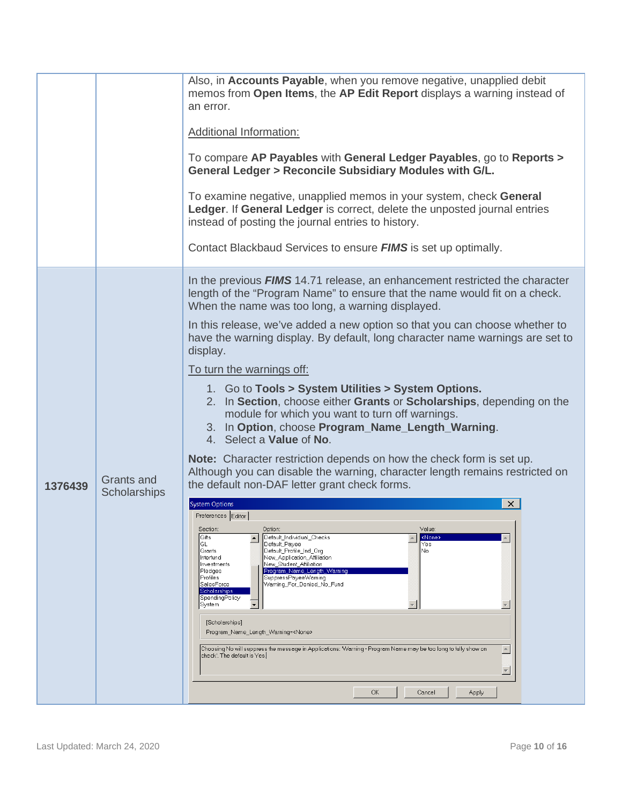|         |                                   | Also, in <b>Accounts Payable</b> , when you remove negative, unapplied debit<br>memos from Open Items, the AP Edit Report displays a warning instead of<br>an error.<br><b>Additional Information:</b><br>To compare AP Payables with General Ledger Payables, go to Reports ><br>General Ledger > Reconcile Subsidiary Modules with G/L.<br>To examine negative, unapplied memos in your system, check General<br>Ledger. If General Ledger is correct, delete the unposted journal entries<br>instead of posting the journal entries to history.<br>Contact Blackbaud Services to ensure <b>FIMS</b> is set up optimally.                                                                                                                                                                                                                                                                                                                                                                                                                                                                                                                                                                                                                                                                                                                                                                                                                                                                                                                                                                                                                                                                                                                                                                                                                                                                                                         |
|---------|-----------------------------------|-------------------------------------------------------------------------------------------------------------------------------------------------------------------------------------------------------------------------------------------------------------------------------------------------------------------------------------------------------------------------------------------------------------------------------------------------------------------------------------------------------------------------------------------------------------------------------------------------------------------------------------------------------------------------------------------------------------------------------------------------------------------------------------------------------------------------------------------------------------------------------------------------------------------------------------------------------------------------------------------------------------------------------------------------------------------------------------------------------------------------------------------------------------------------------------------------------------------------------------------------------------------------------------------------------------------------------------------------------------------------------------------------------------------------------------------------------------------------------------------------------------------------------------------------------------------------------------------------------------------------------------------------------------------------------------------------------------------------------------------------------------------------------------------------------------------------------------------------------------------------------------------------------------------------------------|
| 1376439 | Grants and<br><b>Scholarships</b> | In the previous <b>FIMS</b> 14.71 release, an enhancement restricted the character<br>length of the "Program Name" to ensure that the name would fit on a check.<br>When the name was too long, a warning displayed.<br>In this release, we've added a new option so that you can choose whether to<br>have the warning display. By default, long character name warnings are set to<br>display.<br>To turn the warnings off:<br>1. Go to Tools > System Utilities > System Options.<br>2. In Section, choose either Grants or Scholarships, depending on the<br>module for which you want to turn off warnings.<br>3. In Option, choose Program_Name_Length_Warning.<br>4. Select a Value of No.<br>Note: Character restriction depends on how the check form is set up.<br>Although you can disable the warning, character length remains restricted on<br>the default non-DAF letter grant check forms.<br><b>System Options</b><br>×.<br>Preferences Editor<br>Value:<br>Section:<br>Option:<br>Default_Individual_Checks<br>  Gifts<br><none><br/><math display="inline">\blacktriangle</math><br/><math display="inline">\blacktriangle</math><br/>GL<br/>Default_Payee<br/>Yes<br/>Default_Profile_Ind_Org<br/>Grants<br/>No<br/>New_Application_Affiliation<br/>Interfund<br/>Investments<br/>New Student Affiliation<br/>Program_Name_Length_Warning<br/>Pledges<br/>Profiles<br/>SuppressPayeeWarning<br/>SalesForce<br/>Warning_For_Denied_No_Fund<br/>Scholarships<br/>SpendingPolicy<br/><math display="inline">\blacktriangledown</math><br/>System<br/>[Scholarships]<br/>Program_Name_Length_Warning=<none><br/>Choosing No will suppress the message in Applications: "Warning - Program Name may be too long to fully show on<br/><math display="inline">\blacktriangle</math><br/>check'. The default is Yes.<br/><math display="inline">\overline{\phantom{m}}</math><br/>OK<br/>Cancel<br/>Apply</none></none> |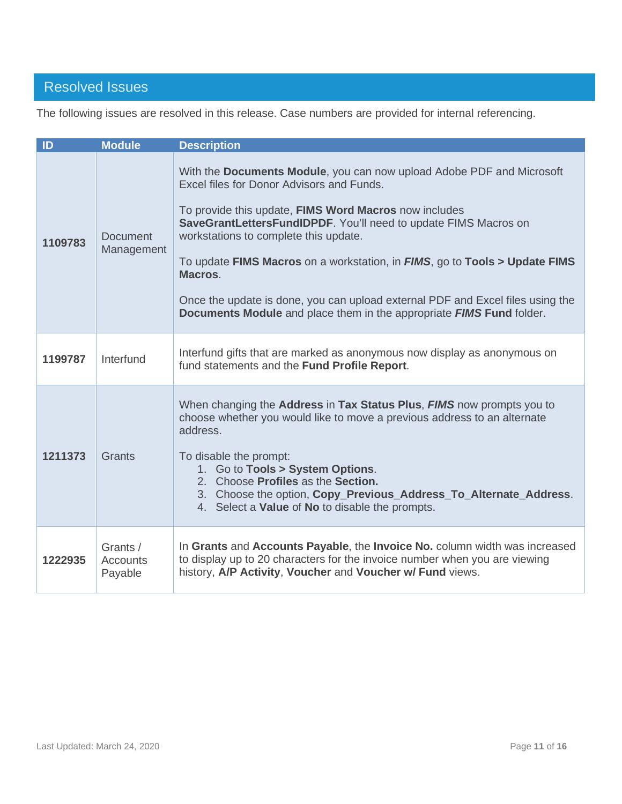## <span id="page-10-0"></span>Resolved Issues

The following issues are resolved in this release. Case numbers are provided for internal referencing.

| ID      | <b>Module</b>                          | <b>Description</b>                                                                                                                                                                                                                                                                                                                                                                                                                                                                                                                         |
|---------|----------------------------------------|--------------------------------------------------------------------------------------------------------------------------------------------------------------------------------------------------------------------------------------------------------------------------------------------------------------------------------------------------------------------------------------------------------------------------------------------------------------------------------------------------------------------------------------------|
| 1109783 | <b>Document</b><br>Management          | With the Documents Module, you can now upload Adobe PDF and Microsoft<br>Excel files for Donor Advisors and Funds.<br>To provide this update, FIMS Word Macros now includes<br>SaveGrantLettersFundIDPDF. You'll need to update FIMS Macros on<br>workstations to complete this update.<br>To update FIMS Macros on a workstation, in FIMS, go to Tools > Update FIMS<br>Macros.<br>Once the update is done, you can upload external PDF and Excel files using the<br>Documents Module and place them in the appropriate FIMS Fund folder. |
| 1199787 | Interfund                              | Interfund gifts that are marked as anonymous now display as anonymous on<br>fund statements and the Fund Profile Report.                                                                                                                                                                                                                                                                                                                                                                                                                   |
| 1211373 | Grants                                 | When changing the Address in Tax Status Plus, FIMS now prompts you to<br>choose whether you would like to move a previous address to an alternate<br>address.<br>To disable the prompt:<br>1. Go to Tools > System Options.<br>2. Choose Profiles as the Section.<br>3. Choose the option, Copy_Previous_Address_To_Alternate_Address.<br>4. Select a Value of No to disable the prompts.                                                                                                                                                  |
| 1222935 | Grants /<br><b>Accounts</b><br>Payable | In Grants and Accounts Payable, the Invoice No. column width was increased<br>to display up to 20 characters for the invoice number when you are viewing<br>history, A/P Activity, Voucher and Voucher w/ Fund views.                                                                                                                                                                                                                                                                                                                      |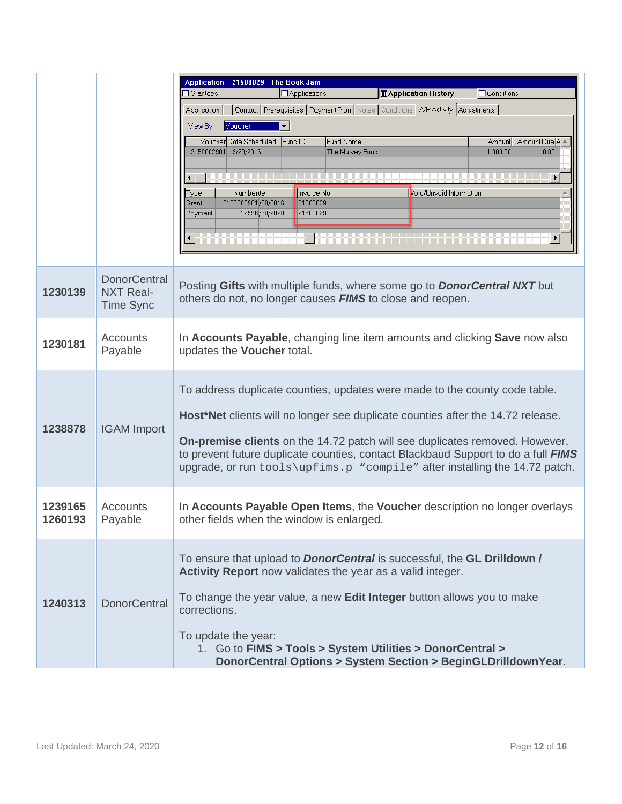|         |                                                             | <b>Application</b><br>21500029 The Book Jam                                                                                                                      |
|---------|-------------------------------------------------------------|------------------------------------------------------------------------------------------------------------------------------------------------------------------|
|         |                                                             | Applications<br><b>Application History</b><br><b>ED</b> Conditions<br><b>B</b> Grantees                                                                          |
|         |                                                             | Application  +   Contact   Prerequisites   Payment Plan   Notes   Conditions   A/P Activity   Adjustments                                                        |
|         |                                                             | Voucher<br>▾╎<br>View By                                                                                                                                         |
|         |                                                             | Voucher Date Scheduled<br>Fund ID<br>Fund Name<br>Amount Due A<br>Amount                                                                                         |
|         |                                                             | 2150002901 12/20/2016<br>1,000.00<br>The Mulvey Fund<br>0.00                                                                                                     |
|         |                                                             |                                                                                                                                                                  |
|         |                                                             | $\lvert \cdot \rvert$                                                                                                                                            |
|         |                                                             | Invoice No.<br>Numberite<br>oid/Unvoid Information<br>Type<br>2150002901/20/2016<br>21500029<br>Grant                                                            |
|         |                                                             | 21500029<br>12596/30/2020<br>Payment                                                                                                                             |
|         |                                                             |                                                                                                                                                                  |
|         |                                                             | $\blacktriangleleft$                                                                                                                                             |
|         |                                                             |                                                                                                                                                                  |
| 1230139 | <b>DonorCentral</b><br><b>NXT Real-</b><br><b>Time Sync</b> | Posting Gifts with multiple funds, where some go to <b>DonorCentral NXT</b> but<br>others do not, no longer causes <b>FIMS</b> to close and reopen.              |
| 1230181 | <b>Accounts</b>                                             | In Accounts Payable, changing line item amounts and clicking Save now also                                                                                       |
|         | Payable                                                     | updates the Voucher total.                                                                                                                                       |
|         |                                                             |                                                                                                                                                                  |
|         |                                                             | To address duplicate counties, updates were made to the county code table.                                                                                       |
|         |                                                             |                                                                                                                                                                  |
|         |                                                             | Host*Net clients will no longer see duplicate counties after the 14.72 release.                                                                                  |
| 1238878 | <b>IGAM</b> Import                                          |                                                                                                                                                                  |
|         |                                                             | On-premise clients on the 14.72 patch will see duplicates removed. However,<br>to prevent future duplicate counties, contact Blackbaud Support to do a full FIMS |
|         |                                                             | upgrade, or run tools\upfims.p "compile" after installing the 14.72 patch.                                                                                       |
|         |                                                             |                                                                                                                                                                  |
|         |                                                             |                                                                                                                                                                  |
| 1239165 | Accounts                                                    | In Accounts Payable Open Items, the Voucher description no longer overlays                                                                                       |
| 1260193 | Payable                                                     | other fields when the window is enlarged.                                                                                                                        |
|         |                                                             |                                                                                                                                                                  |
|         |                                                             | To ensure that upload to <b>DonorCentral</b> is successful, the <b>GL Drilldown /</b>                                                                            |
|         |                                                             | Activity Report now validates the year as a valid integer.                                                                                                       |
|         |                                                             |                                                                                                                                                                  |
| 1240313 | <b>DonorCentral</b>                                         | To change the year value, a new Edit Integer button allows you to make<br>corrections.                                                                           |
|         |                                                             |                                                                                                                                                                  |
|         |                                                             | To update the year:<br>1. Go to FIMS > Tools > System Utilities > DonorCentral >                                                                                 |
|         |                                                             | DonorCentral Options > System Section > BeginGLDrilldownYear.                                                                                                    |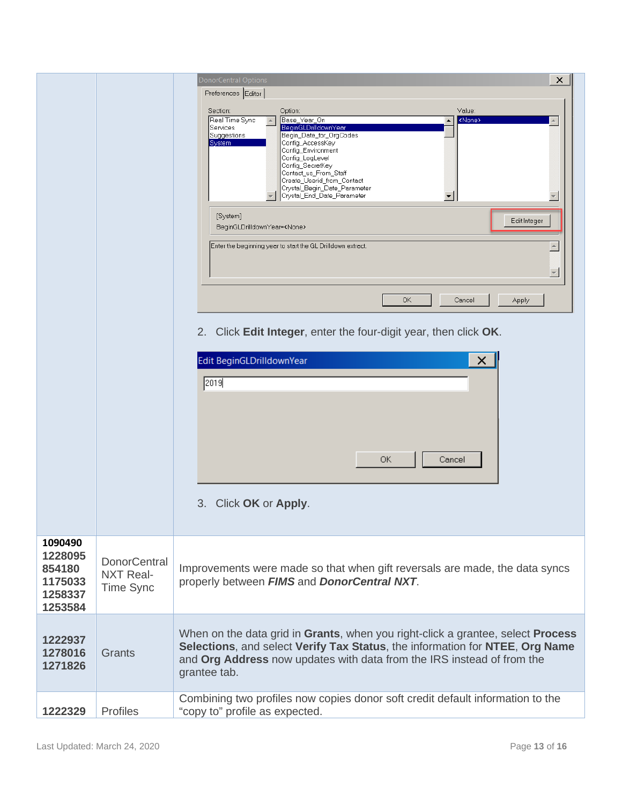|                                                               |                                                      | <b>DonorCentral Options</b><br>×<br>Preferences Editor<br>Value:<br>Section:<br>Option:<br>Real Time Sync<br>Base_Year_On<br><none><br/>BeginGLDrilldownYear<br/>Services<br/>Begin_Date_for_OrgCodes<br/>Suggestions<br/>System<br/>Config_AccessKey<br/>Config_Environment<br/>Config_LogLevel<br/>Config_SecretKey<br/>Contact us From Staff<br/>Create_Userid_from_Contact<br/>Crystal_Begin_Date_Parameter<br/>Crystal_End_Date_Parameter<br/><math>\overline{\phantom{a}}</math><br/>[System]<br/>Edit Integer<br/>BeginGLDrilldownYear=<none><br/>Enter the beginning year to start the GL Drilldown extract.<br/><math display="inline">\overline{\mathbf{v}}</math><br/>OK<br/>Cancel<br/>Apply<br/>Click Edit Integer, enter the four-digit year, then click OK.<br/>2.<br/>Edit BeginGLDrilldownYear<br/>×<br/>2019<br/>ОК<br/>Cancel<br/>Click OK or Apply.<br/>3.</none></none> |
|---------------------------------------------------------------|------------------------------------------------------|----------------------------------------------------------------------------------------------------------------------------------------------------------------------------------------------------------------------------------------------------------------------------------------------------------------------------------------------------------------------------------------------------------------------------------------------------------------------------------------------------------------------------------------------------------------------------------------------------------------------------------------------------------------------------------------------------------------------------------------------------------------------------------------------------------------------------------------------------------------------------------------------|
| 1090490<br>1228095<br>854180<br>1175033<br>1258337<br>1253584 | <b>DonorCentral</b><br><b>NXT Real-</b><br>Time Sync | Improvements were made so that when gift reversals are made, the data syncs<br>properly between FIMS and DonorCentral NXT.                                                                                                                                                                                                                                                                                                                                                                                                                                                                                                                                                                                                                                                                                                                                                                   |
| 1222937<br>1278016<br>1271826                                 | Grants                                               | When on the data grid in Grants, when you right-click a grantee, select Process<br>Selections, and select Verify Tax Status, the information for NTEE, Org Name<br>and Org Address now updates with data from the IRS instead of from the<br>grantee tab.                                                                                                                                                                                                                                                                                                                                                                                                                                                                                                                                                                                                                                    |
| 1222329                                                       | Profiles                                             | Combining two profiles now copies donor soft credit default information to the<br>"copy to" profile as expected.                                                                                                                                                                                                                                                                                                                                                                                                                                                                                                                                                                                                                                                                                                                                                                             |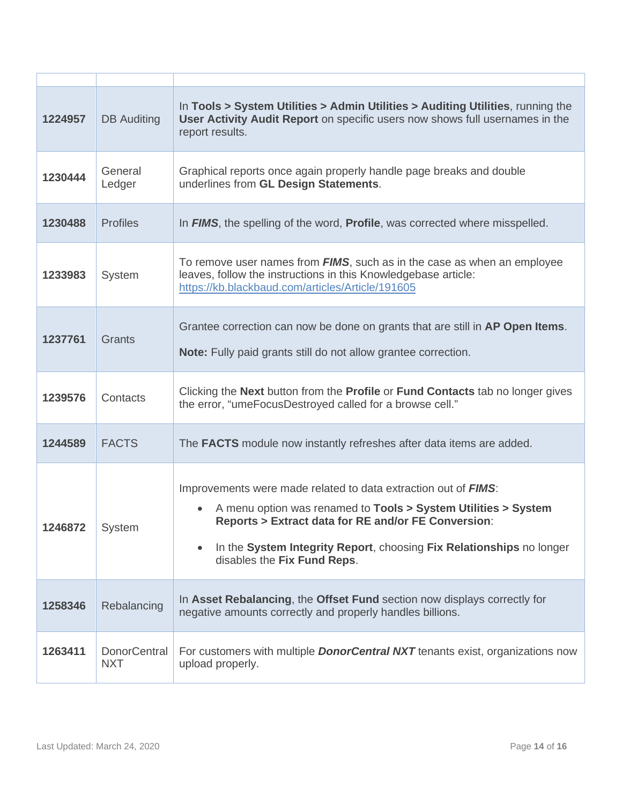| 1224957 | <b>DB</b> Auditing                | In Tools > System Utilities > Admin Utilities > Auditing Utilities, running the<br>User Activity Audit Report on specific users now shows full usernames in the<br>report results.                                                                                                                                            |
|---------|-----------------------------------|-------------------------------------------------------------------------------------------------------------------------------------------------------------------------------------------------------------------------------------------------------------------------------------------------------------------------------|
| 1230444 | General<br>Ledger                 | Graphical reports once again properly handle page breaks and double<br>underlines from GL Design Statements.                                                                                                                                                                                                                  |
| 1230488 | <b>Profiles</b>                   | In FIMS, the spelling of the word, Profile, was corrected where misspelled.                                                                                                                                                                                                                                                   |
| 1233983 | System                            | To remove user names from <b>FIMS</b> , such as in the case as when an employee<br>leaves, follow the instructions in this Knowledgebase article:<br>https://kb.blackbaud.com/articles/Article/191605                                                                                                                         |
| 1237761 | Grants                            | Grantee correction can now be done on grants that are still in AP Open Items.<br>Note: Fully paid grants still do not allow grantee correction.                                                                                                                                                                               |
| 1239576 | Contacts                          | Clicking the Next button from the Profile or Fund Contacts tab no longer gives<br>the error, "umeFocusDestroyed called for a browse cell."                                                                                                                                                                                    |
| 1244589 | <b>FACTS</b>                      | The FACTS module now instantly refreshes after data items are added.                                                                                                                                                                                                                                                          |
| 1246872 | System                            | Improvements were made related to data extraction out of <b>FIMS</b> :<br>A menu option was renamed to Tools > System Utilities > System<br>$\bullet$<br><b>Reports &gt; Extract data for RE and/or FE Conversion:</b><br>In the System Integrity Report, choosing Fix Relationships no longer<br>disables the Fix Fund Reps. |
| 1258346 | Rebalancing                       | In Asset Rebalancing, the Offset Fund section now displays correctly for<br>negative amounts correctly and properly handles billions.                                                                                                                                                                                         |
| 1263411 | <b>DonorCentral</b><br><b>NXT</b> | For customers with multiple <b>DonorCentral NXT</b> tenants exist, organizations now<br>upload properly.                                                                                                                                                                                                                      |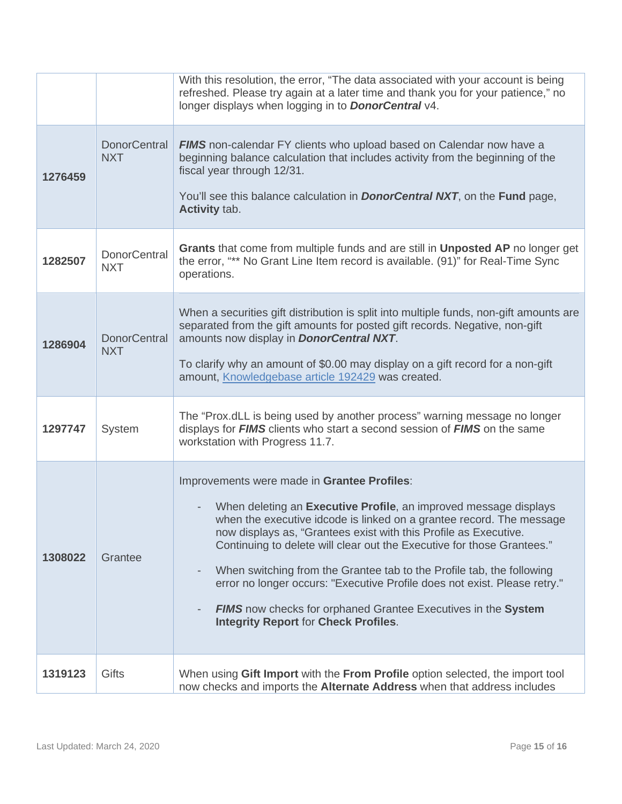|         |                                   | With this resolution, the error, "The data associated with your account is being<br>refreshed. Please try again at a later time and thank you for your patience," no<br>longer displays when logging in to <b>DonorCentral</b> v4.                                                                                                                                                                                                                                                                                                                                                                                 |
|---------|-----------------------------------|--------------------------------------------------------------------------------------------------------------------------------------------------------------------------------------------------------------------------------------------------------------------------------------------------------------------------------------------------------------------------------------------------------------------------------------------------------------------------------------------------------------------------------------------------------------------------------------------------------------------|
| 1276459 | <b>DonorCentral</b><br><b>NXT</b> | <b>FIMS</b> non-calendar FY clients who upload based on Calendar now have a<br>beginning balance calculation that includes activity from the beginning of the<br>fiscal year through 12/31.<br>You'll see this balance calculation in <b>DonorCentral NXT</b> , on the Fund page,<br><b>Activity tab.</b>                                                                                                                                                                                                                                                                                                          |
| 1282507 | <b>DonorCentral</b><br><b>NXT</b> | <b>Grants</b> that come from multiple funds and are still in <b>Unposted AP</b> no longer get<br>the error, "** No Grant Line Item record is available. (91)" for Real-Time Sync<br>operations.                                                                                                                                                                                                                                                                                                                                                                                                                    |
| 1286904 | <b>DonorCentral</b><br><b>NXT</b> | When a securities gift distribution is split into multiple funds, non-gift amounts are<br>separated from the gift amounts for posted gift records. Negative, non-gift<br>amounts now display in <b>DonorCentral NXT</b> .<br>To clarify why an amount of \$0.00 may display on a gift record for a non-gift<br>amount, Knowledgebase article 192429 was created.                                                                                                                                                                                                                                                   |
| 1297747 | System                            | The "Prox.dLL is being used by another process" warning message no longer<br>displays for <b>FIMS</b> clients who start a second session of <b>FIMS</b> on the same<br>workstation with Progress 11.7.                                                                                                                                                                                                                                                                                                                                                                                                             |
| 1308022 | Grantee                           | Improvements were made in Grantee Profiles:<br>When deleting an Executive Profile, an improved message displays<br>when the executive idcode is linked on a grantee record. The message<br>now displays as, "Grantees exist with this Profile as Executive.<br>Continuing to delete will clear out the Executive for those Grantees."<br>When switching from the Grantee tab to the Profile tab, the following<br>error no longer occurs: "Executive Profile does not exist. Please retry."<br><b>FIMS</b> now checks for orphaned Grantee Executives in the System<br><b>Integrity Report for Check Profiles.</b> |
| 1319123 | Gifts                             | When using Gift Import with the From Profile option selected, the import tool<br>now checks and imports the Alternate Address when that address includes                                                                                                                                                                                                                                                                                                                                                                                                                                                           |